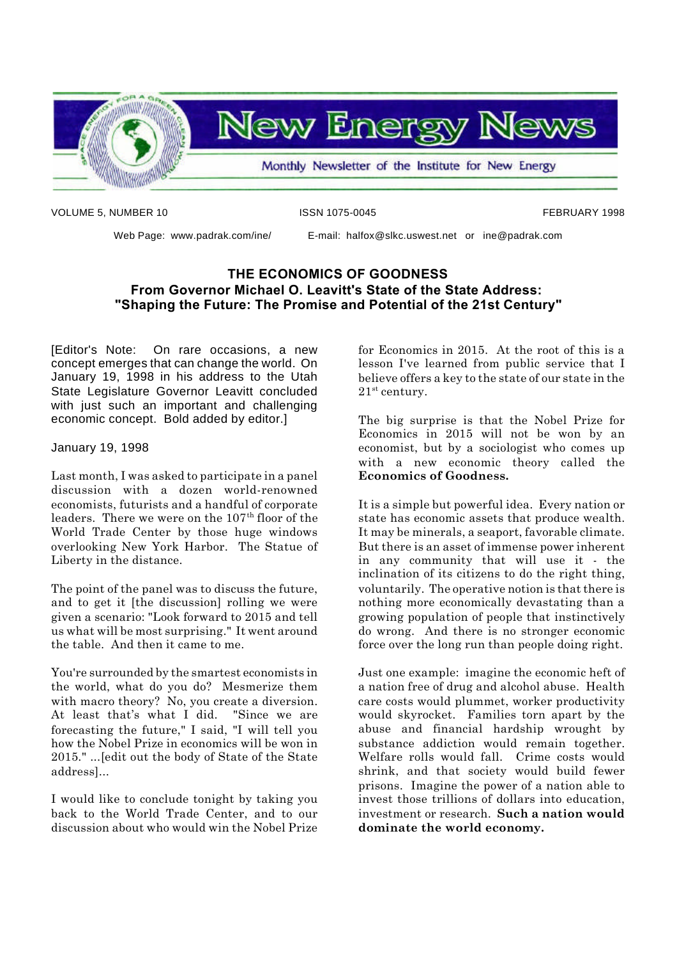

VOLUME 5, NUMBER 10 **ISSN 1075-0045** FEBRUARY 1998

Web Page: www.padrak.com/ine/ E-mail: halfox@slkc.uswest.net or ine@padrak.com

### **THE ECONOMICS OF GOODNESS From Governor Michael O. Leavitt's State of the State Address: "Shaping the Future: The Promise and Potential of the 21st Century"**

[Editor's Note: On rare occasions, a new concept emerges that can change the world. On January 19, 1998 in his address to the Utah State Legislature Governor Leavitt concluded with just such an important and challenging economic concept. Bold added by editor.]

January 19, 1998

Last month, I was asked to participate in a panel discussion with a dozen world-renowned economists, futurists and a handful of corporate leaders. There we were on the 107<sup>th</sup> floor of the World Trade Center by those huge windows overlooking New York Harbor. The Statue of Liberty in the distance.

The point of the panel was to discuss the future, and to get it [the discussion] rolling we were given a scenario: "Look forward to 2015 and tell us what will be most surprising." It went around the table. And then it came to me.

You're surrounded by the smartest economists in the world, what do you do? Mesmerize them with macro theory? No, you create a diversion. At least that's what I did. "Since we are forecasting the future," I said, "I will tell you how the Nobel Prize in economics will be won in 2015." ...[edit out the body of State of the State address]...

I would like to conclude tonight by taking you back to the World Trade Center, and to our discussion about who would win the Nobel Prize

for Economics in 2015. At the root of this is a lesson I've learned from public service that I believe offers a key to the state of our state in the 21st century.

The big surprise is that the Nobel Prize for Economics in 2015 will not be won by an economist, but by a sociologist who comes up with a new economic theory called the **Economics of Goodness.**

It is a simple but powerful idea. Every nation or state has economic assets that produce wealth. It may be minerals, a seaport, favorable climate. But there is an asset of immense power inherent in any community that will use it - the inclination of its citizens to do the right thing, voluntarily. The operative notion is that there is nothing more economically devastating than a growing population of people that instinctively do wrong. And there is no stronger economic force over the long run than people doing right.

Just one example: imagine the economic heft of a nation free of drug and alcohol abuse. Health care costs would plummet, worker productivity would skyrocket. Families torn apart by the abuse and financial hardship wrought by substance addiction would remain together. Welfare rolls would fall. Crime costs would shrink, and that society would build fewer prisons. Imagine the power of a nation able to invest those trillions of dollars into education, investment or research. **Such a nation would dominate the world economy.**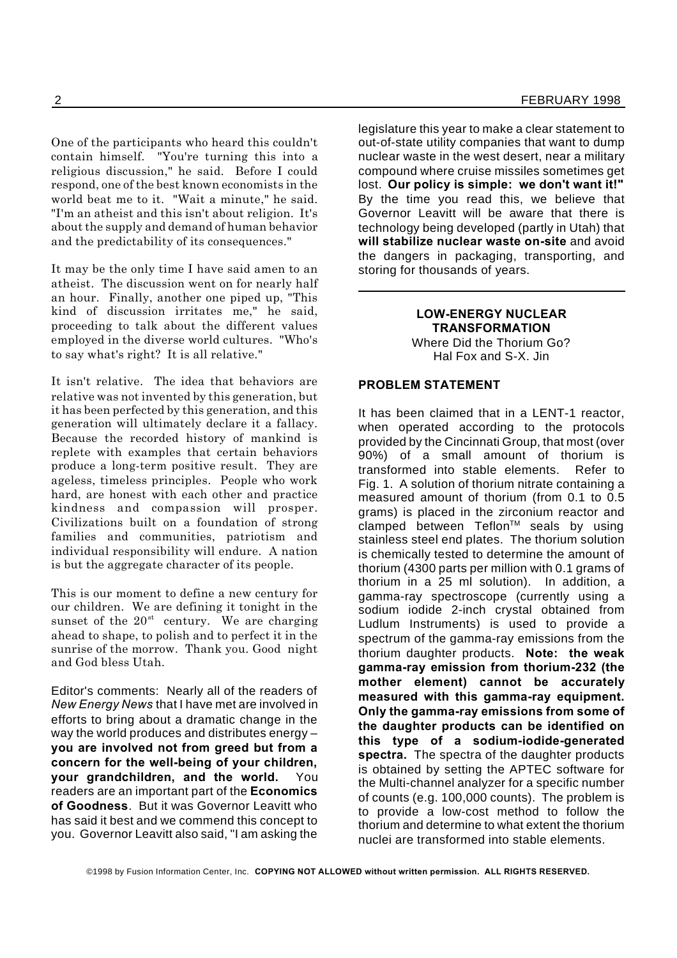One of the participants who heard this couldn't contain himself. "You're turning this into a religious discussion," he said. Before I could respond, one of the best known economists in the world beat me to it. "Wait a minute," he said. "I'm an atheist and this isn't about religion. It's about the supply and demand of human behavior and the predictability of its consequences."

It may be the only time I have said amen to an atheist. The discussion went on for nearly half an hour. Finally, another one piped up, "This kind of discussion irritates me," he said, proceeding to talk about the different values employed in the diverse world cultures. "Who's to say what's right? It is all relative."

It isn't relative. The idea that behaviors are relative was not invented by this generation, but it has been perfected by this generation, and this generation will ultimately declare it a fallacy. Because the recorded history of mankind is replete with examples that certain behaviors produce a long-term positive result. They are ageless, timeless principles. People who work hard, are honest with each other and practice kindness and compassion will prosper. Civilizations built on a foundation of strong families and communities, patriotism and individual responsibility will endure. A nation is but the aggregate character of its people.

This is our moment to define a new century for our children. We are defining it tonight in the sunset of the  $20<sup>st</sup>$  century. We are charging ahead to shape, to polish and to perfect it in the sunrise of the morrow. Thank you. Good night and God bless Utah.

Editor's comments: Nearly all of the readers of *New Energy News* that I have met are involved in efforts to bring about a dramatic change in the way the world produces and distributes energy – **you are involved not from greed but from a concern for the well-being of your children, your grandchildren, and the world.** You readers are an important part of the **Economics of Goodness**. But it was Governor Leavitt who has said it best and we commend this concept to you. Governor Leavitt also said, "I am asking the

legislature this year to make a clear statement to out-of-state utility companies that want to dump nuclear waste in the west desert, near a military compound where cruise missiles sometimes get lost. **Our policy is simple: we don't want it!"** By the time you read this, we believe that Governor Leavitt will be aware that there is technology being developed (partly in Utah) that **will stabilize nuclear waste on-site** and avoid the dangers in packaging, transporting, and storing for thousands of years.

### **LOW-ENERGY NUCLEAR TRANSFORMATION**

Where Did the Thorium Go? Hal Fox and S-X. Jin

### **PROBLEM STATEMENT**

It has been claimed that in a LENT-1 reactor, when operated according to the protocols provided by the Cincinnati Group, that most (over 90%) of a small amount of thorium is transformed into stable elements. Refer to Fig. 1. A solution of thorium nitrate containing a measured amount of thorium (from 0.1 to 0.5 grams) is placed in the zirconium reactor and  $\tilde{c}$ lamped between Teflon<sup>TM</sup> seals by using stainless steel end plates. The thorium solution is chemically tested to determine the amount of thorium (4300 parts per million with 0.1 grams of thorium in a 25 ml solution). In addition, a gamma-ray spectroscope (currently using a sodium iodide 2-inch crystal obtained from Ludlum Instruments) is used to provide a spectrum of the gamma-ray emissions from the thorium daughter products. **Note: the weak gamma-ray emission from thorium-232 (the mother element) cannot be accurately measured with this gamma-ray equipment. Only the gamma-ray emissions from some of the daughter products can be identified on this type of a sodium-iodide-generated spectra.** The spectra of the daughter products is obtained by setting the APTEC software for the Multi-channel analyzer for a specific number of counts (e.g. 100,000 counts). The problem is to provide a low-cost method to follow the thorium and determine to what extent the thorium nuclei are transformed into stable elements.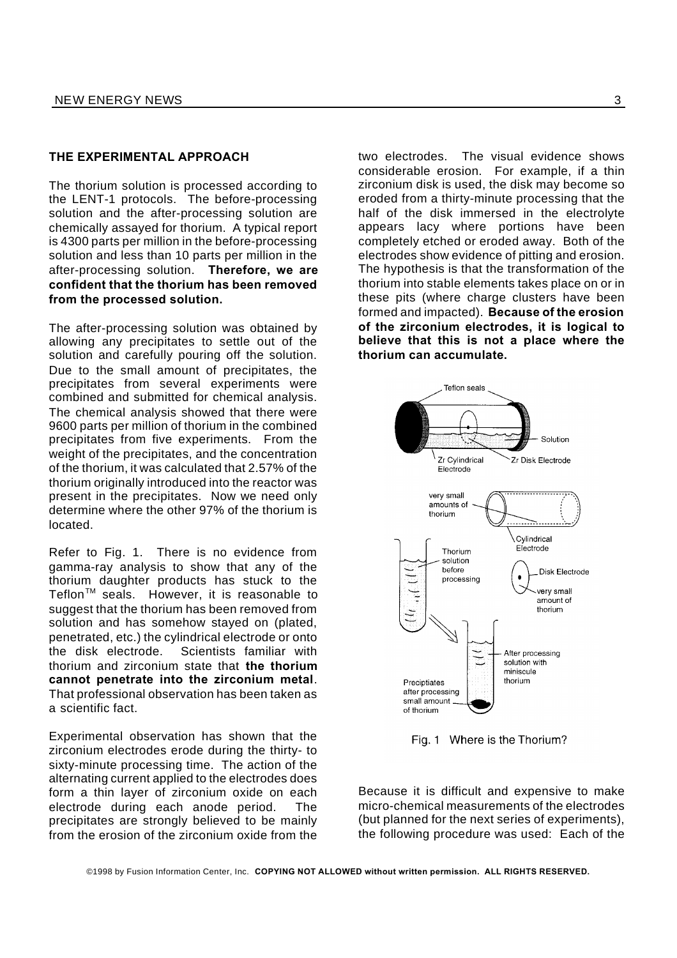### **THE EXPERIMENTAL APPROACH**

The thorium solution is processed according to the LENT-1 protocols. The before-processing solution and the after-processing solution are chemically assayed for thorium. A typical report is 4300 parts per million in the before-processing solution and less than 10 parts per million in the after-processing solution. **Therefore, we are confident that the thorium has been removed from the processed solution.**

The after-processing solution was obtained by allowing any precipitates to settle out of the solution and carefully pouring off the solution. Due to the small amount of precipitates, the precipitates from several experiments were combined and submitted for chemical analysis. The chemical analysis showed that there were 9600 parts per million of thorium in the combined precipitates from five experiments. From the weight of the precipitates, and the concentration of the thorium, it was calculated that 2.57% of the thorium originally introduced into the reactor was present in the precipitates. Now we need only determine where the other 97% of the thorium is located.

Refer to Fig. 1. There is no evidence from gamma-ray analysis to show that any of the thorium daughter products has stuck to the Teflon<sup>™</sup> seals. However, it is reasonable to suggest that the thorium has been removed from solution and has somehow stayed on (plated, penetrated, etc.) the cylindrical electrode or onto the disk electrode. Scientists familiar with thorium and zirconium state that **the thorium cannot penetrate into the zirconium metal**. That professional observation has been taken as a scientific fact.

Experimental observation has shown that the zirconium electrodes erode during the thirty- to sixty-minute processing time. The action of the alternating current applied to the electrodes does form a thin layer of zirconium oxide on each electrode during each anode period. The precipitates are strongly believed to be mainly from the erosion of the zirconium oxide from the

two electrodes. The visual evidence shows considerable erosion. For example, if a thin zirconium disk is used, the disk may become so eroded from a thirty-minute processing that the half of the disk immersed in the electrolyte appears lacy where portions have been completely etched or eroded away. Both of the electrodes show evidence of pitting and erosion. The hypothesis is that the transformation of the thorium into stable elements takes place on or in these pits (where charge clusters have been formed and impacted). **Because of the erosion of the zirconium electrodes, it is logical to believe that this is not a place where the thorium can accumulate.**



Fig. 1 Where is the Thorium?

Because it is difficult and expensive to make micro-chemical measurements of the electrodes (but planned for the next series of experiments), the following procedure was used: Each of the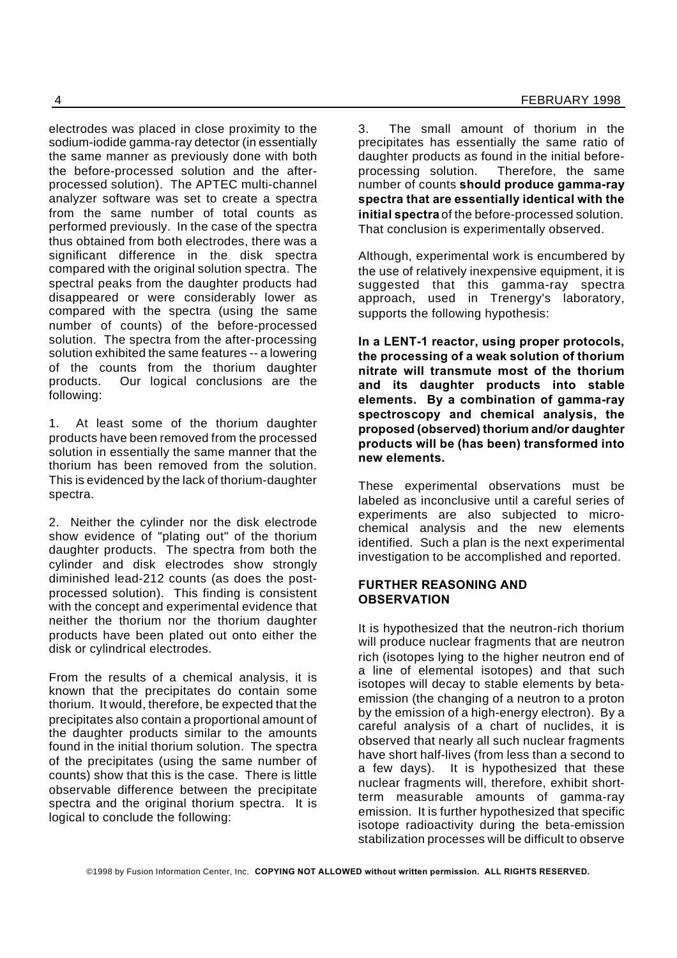electrodes was placed in close proximity to the sodium-iodide gamma-ray detector (in essentially the same manner as previously done with both the before-processed solution and the afterprocessed solution). The APTEC multi-channel analyzer software was set to create a spectra from the same number of total counts as performed previously. In the case of the spectra thus obtained from both electrodes, there was a significant difference in the disk spectra compared with the original solution spectra. The spectral peaks from the daughter products had disappeared or were considerably lower as compared with the spectra (using the same number of counts) of the before-processed solution. The spectra from the after-processing solution exhibited the same features -- a lowering of the counts from the thorium daughter products. Our logical conclusions are the following:

1. At least some of the thorium daughter products have been removed from the processed solution in essentially the same manner that the thorium has been removed from the solution. This is evidenced by the lack of thorium-daughter spectra.

2. Neither the cylinder nor the disk electrode show evidence of "plating out" of the thorium daughter products. The spectra from both the cylinder and disk electrodes show strongly diminished lead-212 counts (as does the postprocessed solution). This finding is consistent with the concept and experimental evidence that neither the thorium nor the thorium daughter products have been plated out onto either the disk or cylindrical electrodes.

From the results of a chemical analysis, it is known that the precipitates do contain some thorium. It would, therefore, be expected that the precipitates also contain a proportional amount of the daughter products similar to the amounts found in the initial thorium solution. The spectra of the precipitates (using the same number of counts) show that this is the case. There is little observable difference between the precipitate spectra and the original thorium spectra. It is logical to conclude the following:

3. The small amount of thorium in the precipitates has essentially the same ratio of daughter products as found in the initial beforeprocessing solution. Therefore, the same number of counts **should produce gamma-ray spectra that are essentially identical with the initial spectra** of the before-processed solution. That conclusion is experimentally observed.

Although, experimental work is encumbered by the use of relatively inexpensive equipment, it is suggested that this gamma-ray spectra approach, used in Trenergy's laboratory, supports the following hypothesis:

**In a LENT-1 reactor, using proper protocols, the processing of a weak solution of thorium nitrate will transmute most of the thorium and its daughter products into stable elements. By a combination of gamma-ray spectroscopy and chemical analysis, the proposed (observed) thorium and/or daughter products will be (has been) transformed into new elements.**

These experimental observations must be labeled as inconclusive until a careful series of experiments are also subjected to microchemical analysis and the new elements identified. Such a plan is the next experimental investigation to be accomplished and reported.

### **FURTHER REASONING AND OBSERVATION**

It is hypothesized that the neutron-rich thorium will produce nuclear fragments that are neutron rich (isotopes lying to the higher neutron end of a line of elemental isotopes) and that such isotopes will decay to stable elements by betaemission (the changing of a neutron to a proton by the emission of a high-energy electron). By a careful analysis of a chart of nuclides, it is observed that nearly all such nuclear fragments have short half-lives (from less than a second to a few days). It is hypothesized that these nuclear fragments will, therefore, exhibit shortterm measurable amounts of gamma-ray emission. It is further hypothesized that specific isotope radioactivity during the beta-emission stabilization processes will be difficult to observe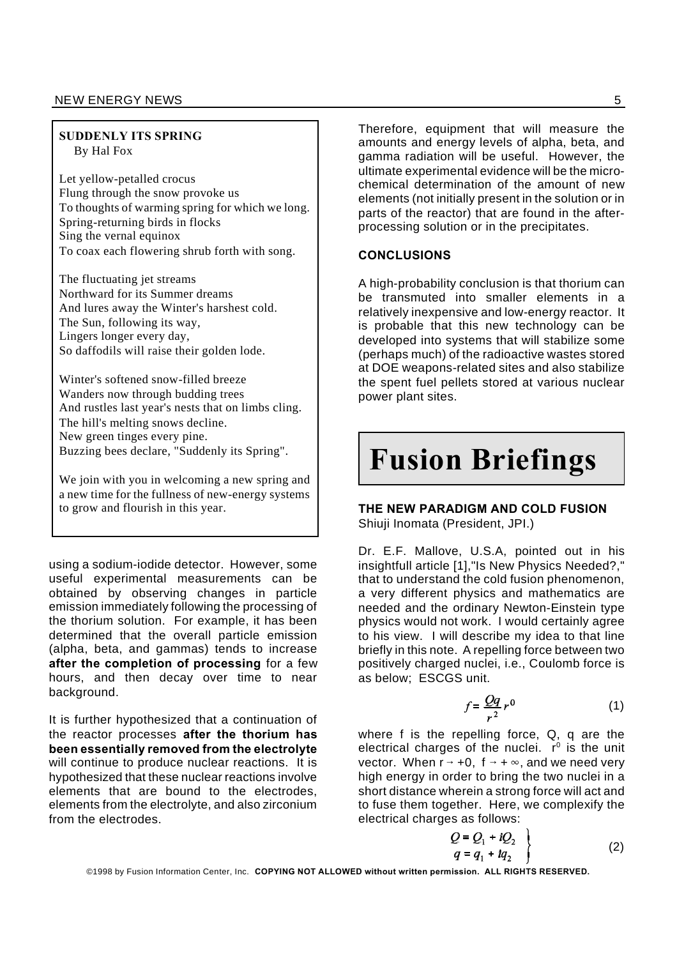### NEW ENERGY NEWS 55

### **SUDDENLY ITS SPRING** By Hal Fox

Let yellow-petalled crocus Flung through the snow provoke us To thoughts of warming spring for which we long. Spring-returning birds in flocks Sing the vernal equinox To coax each flowering shrub forth with song.

The fluctuating jet streams Northward for its Summer dreams And lures away the Winter's harshest cold. The Sun, following its way, Lingers longer every day, So daffodils will raise their golden lode.

Winter's softened snow-filled breeze Wanders now through budding trees And rustles last year's nests that on limbs cling. The hill's melting snows decline. New green tinges every pine. Buzzing bees declare, "Suddenly its Spring".

We join with you in welcoming a new spring and a new time for the fullness of new-energy systems to grow and flourish in this year.

using a sodium-iodide detector. However, some useful experimental measurements can be obtained by observing changes in particle emission immediately following the processing of the thorium solution. For example, it has been determined that the overall particle emission (alpha, beta, and gammas) tends to increase **after the completion of processing** for a few hours, and then decay over time to near background.

It is further hypothesized that a continuation of the reactor processes **after the thorium has been essentially removed from the electrolyte** will continue to produce nuclear reactions. It is hypothesized that these nuclear reactions involve elements that are bound to the electrodes, elements from the electrolyte, and also zirconium from the electrodes.

Therefore, equipment that will measure the amounts and energy levels of alpha, beta, and gamma radiation will be useful. However, the ultimate experimental evidence will be the microchemical determination of the amount of new elements (not initially present in the solution or in parts of the reactor) that are found in the afterprocessing solution or in the precipitates.

### **CONCLUSIONS**

A high-probability conclusion is that thorium can be transmuted into smaller elements in a relatively inexpensive and low-energy reactor. It is probable that this new technology can be developed into systems that will stabilize some (perhaps much) of the radioactive wastes stored at DOE weapons-related sites and also stabilize the spent fuel pellets stored at various nuclear power plant sites.

## **Fusion Briefings**

**THE NEW PARADIGM AND COLD FUSION** Shiuji Inomata (President, JPI.)

Dr. E.F. Mallove, U.S.A, pointed out in his insightfull article [1],"Is New Physics Needed?," that to understand the cold fusion phenomenon, a very different physics and mathematics are needed and the ordinary Newton-Einstein type physics would not work. I would certainly agree to his view. I will describe my idea to that line briefly in this note. A repelling force between two positively charged nuclei, i.e., Coulomb force is as below; ESCGS unit.

$$
f = \frac{Qq}{r^2} r^0 \tag{1}
$$

where f is the repelling force, Q, q are the electrical charges of the nuclei.  $r^{\circ}$  is the unit vector. When  $r \rightarrow +0$ ,  $f \rightarrow +\infty$ , and we need very high energy in order to bring the two nuclei in a short distance wherein a strong force will act and to fuse them together. Here, we complexify the electrical charges as follows:

$$
Q = Q_1 + iQ_2
$$
  
 
$$
q = q_1 + iq_2
$$
 (2)

©1998 by Fusion Information Center, Inc. **COPYING NOT ALLOWED without written permission. ALL RIGHTS RESERVED.**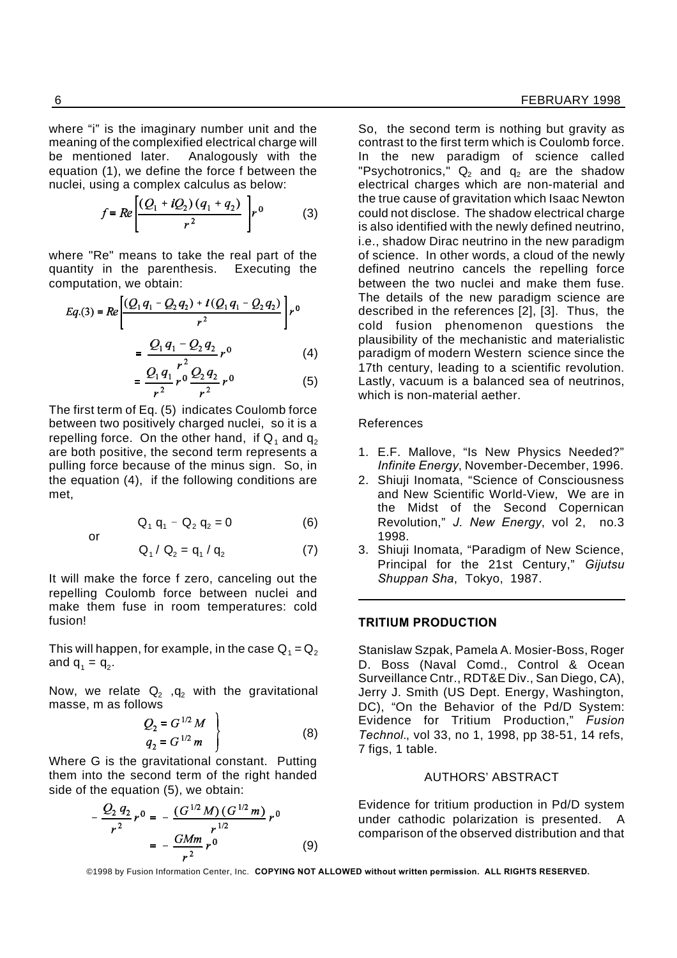where "i" is the imaginary number unit and the meaning of the complexified electrical charge will be mentioned later. Analogously with the equation (1), we define the force f between the nuclei, using a complex calculus as below:

$$
f = Re \left[ \frac{(Q_1 + iQ_2) (q_1 + q_2)}{r^2} \right] r^0 \tag{3}
$$

where "Re" means to take the real part of the quantity in the parenthesis. Executing the computation, we obtain:

$$
Eq.(3) = Re \left[ \frac{(Q_1 q_1 - Q_2 q_2) + i (Q_1 q_1 - Q_2 q_2)}{r^2} \right] r^0
$$
  
= 
$$
\frac{Q_1 q_1 - Q_2 q_2}{r^2} r^0
$$
 (4)

$$
=\frac{Q_1 q_1}{r^2} r^0 \frac{Q_2 q_2}{r^2} r^0
$$
 (5)

The first term of Eq. (5) indicates Coulomb force between two positively charged nuclei, so it is a repelling force. On the other hand, if  $Q_1$  and  $q_2$ are both positive, the second term represents a pulling force because of the minus sign. So, in the equation (4), if the following conditions are met,

$$
Q_1 q_1 - Q_2 q_2 = 0 \tag{6}
$$

$$
\quad\text{or}\quad
$$

$$
Q_1 / Q_2 = q_1 / q_2 \tag{7}
$$

It will make the force f zero, canceling out the repelling Coulomb force between nuclei and make them fuse in room temperatures: cold fusion!

This will happen, for example, in the case  $Q_1 = Q_2$ and  $q_1 = q_2$ .

Now, we relate  $Q_2$  ,  $q_2$  with the gravitational masse, m as follows

$$
Q_2 = G^{1/2} M q_2 = G^{1/2} m
$$
 (8)

Where G is the gravitational constant. Putting them into the second term of the right handed side of the equation (5), we obtain:

$$
-\frac{Q_2 q_2}{r^2} r^0 = -\frac{(G^{1/2} M)(G^{1/2} m)}{r^{1/2}} r^0
$$
  
= 
$$
-\frac{GMm}{r^2} r^0
$$
 (9)

So, the second term is nothing but gravity as contrast to the first term which is Coulomb force. In the new paradigm of science called "Psychotronics,"  $Q_2$  and  $q_2$  are the shadow electrical charges which are non-material and the true cause of gravitation which Isaac Newton could not disclose. The shadow electrical charge is also identified with the newly defined neutrino, i.e., shadow Dirac neutrino in the new paradigm of science. In other words, a cloud of the newly defined neutrino cancels the repelling force between the two nuclei and make them fuse. The details of the new paradigm science are described in the references [2], [3]. Thus, the cold fusion phenomenon questions the plausibility of the mechanistic and materialistic paradigm of modern Western science since the 17th century, leading to a scientific revolution. Lastly, vacuum is a balanced sea of neutrinos, which is non-material aether.

### References

- 1. E.F. Mallove, "Is New Physics Needed?" *Infinite Energy*, November-December, 1996.
- 2. Shiuji Inomata, "Science of Consciousness and New Scientific World-View, We are in the Midst of the Second Copernican Revolution," *J. New Energy*, vol 2, no.3 1998.
- 3. Shiuji Inomata, "Paradigm of New Science, Principal for the 21st Century," *Gijutsu Shuppan Sha*, Tokyo, 1987.

### **TRITIUM PRODUCTION**

Stanislaw Szpak, Pamela A. Mosier-Boss, Roger D. Boss (Naval Comd., Control & Ocean Surveillance Cntr., RDT&E Div., San Diego, CA), Jerry J. Smith (US Dept. Energy, Washington, DC), "On the Behavior of the Pd/D System: Evidence for Tritium Production," *Fusion Technol.*, vol 33, no 1, 1998, pp 38-51, 14 refs, 7 figs, 1 table.

### AUTHORS' ABSTRACT

Evidence for tritium production in Pd/D system under cathodic polarization is presented. A comparison of the observed distribution and that

©1998 by Fusion Information Center, Inc. **COPYING NOT ALLOWED without written permission. ALL RIGHTS RESERVED.**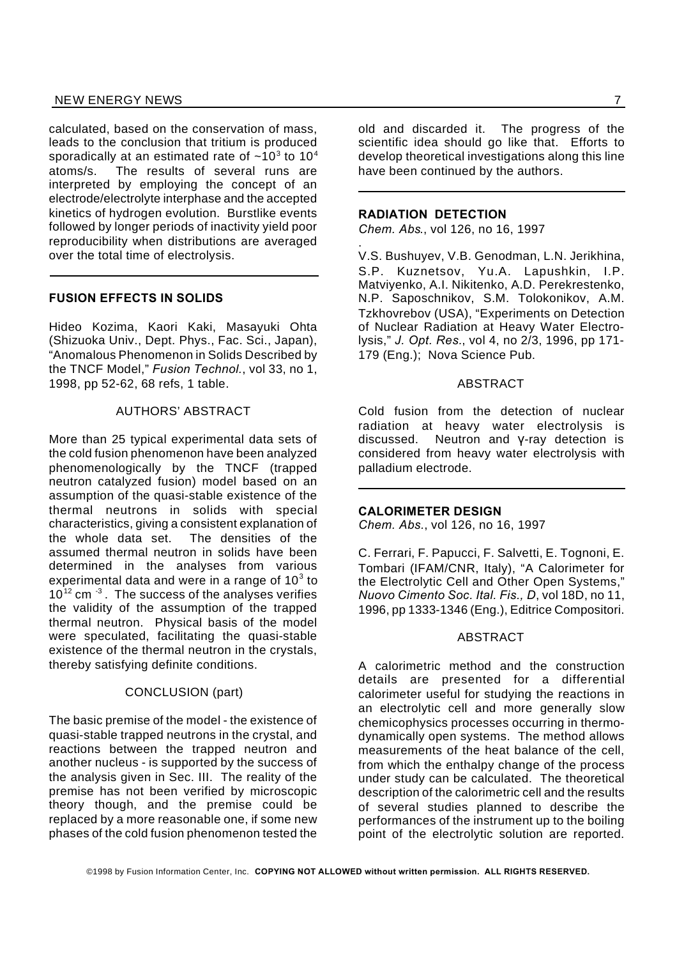### NEW ENERGY NEWS 7 AND 2000 FOR THE RESERVE ENERGY NEWS AND 2000 FOR THE RESERVE ENERGY NEWS AND 2000 FOR THE RESERVE ENERGY RESERVE ENERGY RESERVE ENERGY RESERVE ENERGY RESERVE ENERGY RESERVE ENERGY RESERVE ENERGY RESERVE

calculated, based on the conservation of mass, leads to the conclusion that tritium is produced sporadically at an estimated rate of  $\sim$ 10<sup>3</sup> to 10<sup>4</sup> atoms/s. The results of several runs are interpreted by employing the concept of an electrode/electrolyte interphase and the accepted kinetics of hydrogen evolution. Burstlike events followed by longer periods of inactivity yield poor reproducibility when distributions are averaged over the total time of electrolysis.

### **FUSION EFFECTS IN SOLIDS**

Hideo Kozima, Kaori Kaki, Masayuki Ohta (Shizuoka Univ., Dept. Phys., Fac. Sci., Japan), "Anomalous Phenomenon in Solids Described by the TNCF Model," *Fusion Technol.*, vol 33, no 1, 1998, pp 52-62, 68 refs, 1 table.

### AUTHORS' ABSTRACT

More than 25 typical experimental data sets of the cold fusion phenomenon have been analyzed phenomenologically by the TNCF (trapped neutron catalyzed fusion) model based on an assumption of the quasi-stable existence of the thermal neutrons in solids with special characteristics, giving a consistent explanation of the whole data set. The densities of the assumed thermal neutron in solids have been determined in the analyses from various experimental data and were in a range of 10 $3$  to  $10^{12}$  cm  $^{-3}$ . The success of the analyses verifies the validity of the assumption of the trapped thermal neutron. Physical basis of the model were speculated, facilitating the quasi-stable existence of the thermal neutron in the crystals, thereby satisfying definite conditions.

### CONCLUSION (part)

The basic premise of the model - the existence of quasi-stable trapped neutrons in the crystal, and reactions between the trapped neutron and another nucleus - is supported by the success of the analysis given in Sec. III. The reality of the premise has not been verified by microscopic theory though, and the premise could be replaced by a more reasonable one, if some new phases of the cold fusion phenomenon tested the

old and discarded it. The progress of the scientific idea should go like that. Efforts to develop theoretical investigations along this line have been continued by the authors.

### **RADIATION DETECTION**

.

*Chem. Abs*., vol 126, no 16, 1997

V.S. Bushuyev, V.B. Genodman, L.N. Jerikhina, S.P. Kuznetsov, Yu.A. Lapushkin, I.P. Matviyenko, A.I. Nikitenko, A.D. Perekrestenko, N.P. Saposchnikov, S.M. Tolokonikov, A.M. Tzkhovrebov (USA), "Experiments on Detection of Nuclear Radiation at Heavy Water Electrolysis," *J. Opt. Res.*, vol 4, no 2/3, 1996, pp 171- 179 (Eng.); Nova Science Pub.

### **ABSTRACT**

Cold fusion from the detection of nuclear radiation at heavy water electrolysis is  $discussed.$  Neutron and  $y-ray$  detection is considered from heavy water electrolysis with palladium electrode.

#### **CALORIMETER DESIGN**

*Chem. Abs.*, vol 126, no 16, 1997

C. Ferrari, F. Papucci, F. Salvetti, E. Tognoni, E. Tombari (IFAM/CNR, Italy), "A Calorimeter for the Electrolytic Cell and Other Open Systems," *Nuovo Cimento Soc. Ital. Fis., D*, vol 18D, no 11, 1996, pp 1333-1346 (Eng.), Editrice Compositori.

#### ABSTRACT

A calorimetric method and the construction details are presented for a differential calorimeter useful for studying the reactions in an electrolytic cell and more generally slow chemicophysics processes occurring in thermodynamically open systems. The method allows measurements of the heat balance of the cell, from which the enthalpy change of the process under study can be calculated. The theoretical description of the calorimetric cell and the results of several studies planned to describe the performances of the instrument up to the boiling point of the electrolytic solution are reported.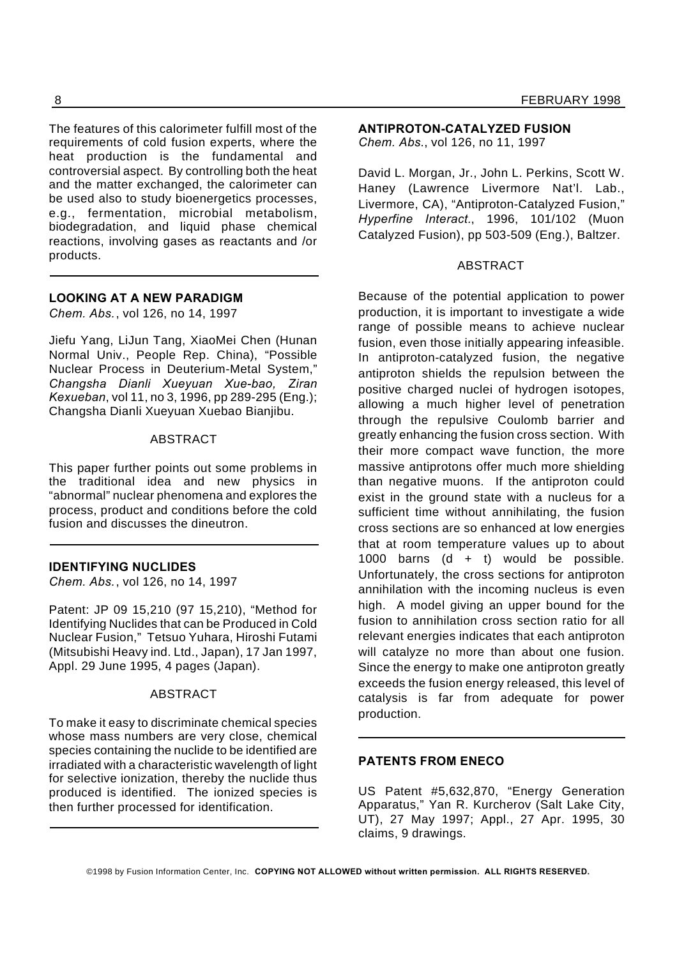The features of this calorimeter fulfill most of the requirements of cold fusion experts, where the heat production is the fundamental and controversial aspect. By controlling both the heat and the matter exchanged, the calorimeter can be used also to study bioenergetics processes, e.g., fermentation, microbial metabolism, biodegradation, and liquid phase chemical reactions, involving gases as reactants and /or products.

### **LOOKING AT A NEW PARADIGM**

*Chem. Abs.*, vol 126, no 14, 1997

Jiefu Yang, LiJun Tang, XiaoMei Chen (Hunan Normal Univ., People Rep. China), "Possible Nuclear Process in Deuterium-Metal System," *Changsha Dianli Xueyuan Xue-bao, Ziran Kexueban*, vol 11, no 3, 1996, pp 289-295 (Eng.); Changsha Dianli Xueyuan Xuebao Bianjibu.

### ABSTRACT

This paper further points out some problems in the traditional idea and new physics in "abnormal" nuclear phenomena and explores the process, product and conditions before the cold fusion and discusses the dineutron.

### **IDENTIFYING NUCLIDES**

*Chem. Abs.*, vol 126, no 14, 1997

Patent: JP 09 15,210 (97 15,210), "Method for Identifying Nuclides that can be Produced in Cold Nuclear Fusion," Tetsuo Yuhara, Hiroshi Futami (Mitsubishi Heavy ind. Ltd., Japan), 17 Jan 1997, Appl. 29 June 1995, 4 pages (Japan).

### ABSTRACT

To make it easy to discriminate chemical species whose mass numbers are very close, chemical species containing the nuclide to be identified are irradiated with a characteristic wavelength of light for selective ionization, thereby the nuclide thus produced is identified. The ionized species is then further processed for identification.

### **ANTIPROTON-CATALYZED FUSION**

*Chem. Abs.*, vol 126, no 11, 1997

David L. Morgan, Jr., John L. Perkins, Scott W. Haney (Lawrence Livermore Nat'l. Lab., Livermore, CA), "Antiproton-Catalyzed Fusion," *Hyperfine Interact.*, 1996, 101/102 (Muon Catalyzed Fusion), pp 503-509 (Eng.), Baltzer.

### ABSTRACT

Because of the potential application to power production, it is important to investigate a wide range of possible means to achieve nuclear fusion, even those initially appearing infeasible. In antiproton-catalyzed fusion, the negative antiproton shields the repulsion between the positive charged nuclei of hydrogen isotopes, allowing a much higher level of penetration through the repulsive Coulomb barrier and greatly enhancing the fusion cross section. With their more compact wave function, the more massive antiprotons offer much more shielding than negative muons. If the antiproton could exist in the ground state with a nucleus for a sufficient time without annihilating, the fusion cross sections are so enhanced at low energies that at room temperature values up to about 1000 barns  $(d + t)$  would be possible. Unfortunately, the cross sections for antiproton annihilation with the incoming nucleus is even high. A model giving an upper bound for the fusion to annihilation cross section ratio for all relevant energies indicates that each antiproton will catalyze no more than about one fusion. Since the energy to make one antiproton greatly exceeds the fusion energy released, this level of catalysis is far from adequate for power production.

### **PATENTS FROM ENECO**

US Patent #5,632,870, "Energy Generation Apparatus," Yan R. Kurcherov (Salt Lake City, UT), 27 May 1997; Appl., 27 Apr. 1995, 30 claims, 9 drawings.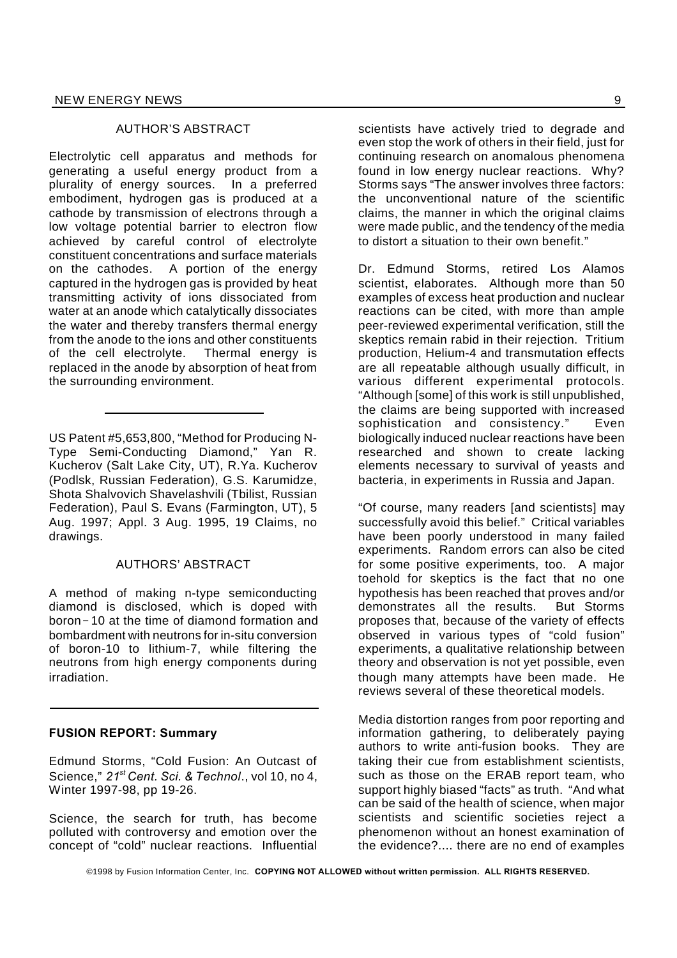### AUTHOR'S ABSTRACT

Electrolytic cell apparatus and methods for generating a useful energy product from a plurality of energy sources. In a preferred embodiment, hydrogen gas is produced at a cathode by transmission of electrons through a low voltage potential barrier to electron flow achieved by careful control of electrolyte constituent concentrations and surface materials on the cathodes. A portion of the energy captured in the hydrogen gas is provided by heat transmitting activity of ions dissociated from water at an anode which catalytically dissociates the water and thereby transfers thermal energy from the anode to the ions and other constituents of the cell electrolyte. Thermal energy is replaced in the anode by absorption of heat from the surrounding environment.

US Patent #5,653,800, "Method for Producing N-Type Semi-Conducting Diamond," Yan R. Kucherov (Salt Lake City, UT), R.Ya. Kucherov (Podlsk, Russian Federation), G.S. Karumidze, Shota Shalvovich Shavelashvili (Tbilist, Russian Federation), Paul S. Evans (Farmington, UT), 5 Aug. 1997; Appl. 3 Aug. 1995, 19 Claims, no drawings.

### AUTHORS' ABSTRACT

A method of making n-type semiconducting diamond is disclosed, which is doped with  $boron-10$  at the time of diamond formation and bombardment with neutrons for in-situ conversion of boron-10 to lithium-7, while filtering the neutrons from high energy components during irradiation.

### **FUSION REPORT: Summary**

Edmund Storms, "Cold Fusion: An Outcast of Science," *21st Cent. Sci. & Technol*., vol 10, no 4, Winter 1997-98, pp 19-26.

Science, the search for truth, has become polluted with controversy and emotion over the concept of "cold" nuclear reactions. Influential scientists have actively tried to degrade and even stop the work of others in their field, just for continuing research on anomalous phenomena found in low energy nuclear reactions. Why? Storms says "The answer involves three factors: the unconventional nature of the scientific claims, the manner in which the original claims were made public, and the tendency of the media to distort a situation to their own benefit."

Dr. Edmund Storms, retired Los Alamos scientist, elaborates. Although more than 50 examples of excess heat production and nuclear reactions can be cited, with more than ample peer-reviewed experimental verification, still the skeptics remain rabid in their rejection. Tritium production, Helium-4 and transmutation effects are all repeatable although usually difficult, in various different experimental protocols. "Although [some] of this work is still unpublished, the claims are being supported with increased sophistication and consistency." Even biologically induced nuclear reactions have been researched and shown to create lacking elements necessary to survival of yeasts and bacteria, in experiments in Russia and Japan.

"Of course, many readers [and scientists] may successfully avoid this belief." Critical variables have been poorly understood in many failed experiments. Random errors can also be cited for some positive experiments, too. A major toehold for skeptics is the fact that no one hypothesis has been reached that proves and/or demonstrates all the results. But Storms proposes that, because of the variety of effects observed in various types of "cold fusion" experiments, a qualitative relationship between theory and observation is not yet possible, even though many attempts have been made. He reviews several of these theoretical models.

Media distortion ranges from poor reporting and information gathering, to deliberately paying authors to write anti-fusion books. They are taking their cue from establishment scientists, such as those on the ERAB report team, who support highly biased "facts" as truth. "And what can be said of the health of science, when major scientists and scientific societies reject a phenomenon without an honest examination of the evidence?.... there are no end of examples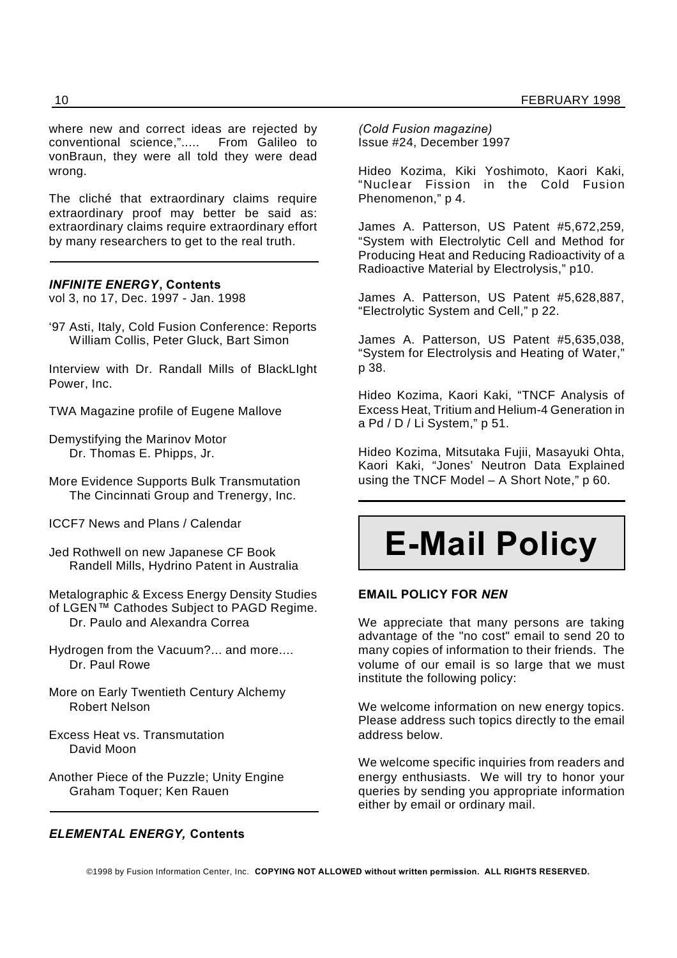where new and correct ideas are rejected by conventional science,"..... From Galileo to vonBraun, they were all told they were dead wrong.

The cliché that extraordinary claims require extraordinary proof may better be said as: extraordinary claims require extraordinary effort by many researchers to get to the real truth.

### *INFINITE ENERGY***, Contents**

vol 3, no 17, Dec. 1997 - Jan. 1998

'97 Asti, Italy, Cold Fusion Conference: Reports William Collis, Peter Gluck, Bart Simon

Interview with Dr. Randall Mills of BlackLIght Power, Inc.

TWA Magazine profile of Eugene Mallove

Demystifying the Marinov Motor Dr. Thomas E. Phipps, Jr.

More Evidence Supports Bulk Transmutation The Cincinnati Group and Trenergy, Inc.

- ICCF7 News and Plans / Calendar
- Jed Rothwell on new Japanese CF Book Randell Mills, Hydrino Patent in Australia

Metalographic & Excess Energy Density Studies of LGEN™ Cathodes Subject to PAGD Regime. Dr. Paulo and Alexandra Correa

Hydrogen from the Vacuum?... and more.... Dr. Paul Rowe

More on Early Twentieth Century Alchemy Robert Nelson

- Excess Heat vs. Transmutation David Moon
- Another Piece of the Puzzle; Unity Engine Graham Toquer; Ken Rauen

### *ELEMENTAL ENERGY,* **Contents**

*(Cold Fusion magazine)* Issue #24, December 1997

Hideo Kozima, Kiki Yoshimoto, Kaori Kaki, "Nuclear Fission in the Cold Fusion Phenomenon," p 4.

James A. Patterson, US Patent #5,672,259, "System with Electrolytic Cell and Method for Producing Heat and Reducing Radioactivity of a Radioactive Material by Electrolysis," p10.

James A. Patterson, US Patent #5,628,887, "Electrolytic System and Cell," p 22.

James A. Patterson, US Patent #5,635,038, "System for Electrolysis and Heating of Water," p 38.

Hideo Kozima, Kaori Kaki, "TNCF Analysis of Excess Heat, Tritium and Helium-4 Generation in a Pd / D / Li System," p 51.

Hideo Kozima, Mitsutaka Fujii, Masayuki Ohta, Kaori Kaki, "Jones' Neutron Data Explained using the TNCF Model – A Short Note," p 60.

# **E-Mail Policy**

### **EMAIL POLICY FOR** *NEN*

We appreciate that many persons are taking advantage of the "no cost" email to send 20 to many copies of information to their friends. The volume of our email is so large that we must institute the following policy:

We welcome information on new energy topics. Please address such topics directly to the email address below.

We welcome specific inquiries from readers and energy enthusiasts. We will try to honor your queries by sending you appropriate information either by email or ordinary mail.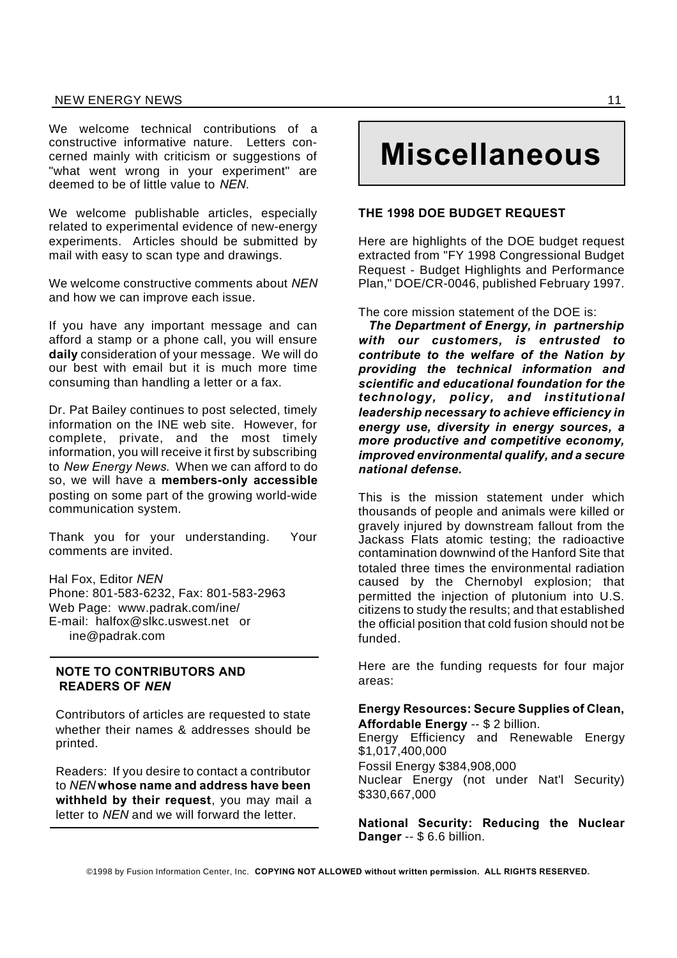### NEW ENERGY NEWS 11

We welcome technical contributions of a constructive informative nature. Letters concerned mainly with criticism or suggestions of "what went wrong in your experiment" are deemed to be of little value to *NEN*.

We welcome publishable articles, especially related to experimental evidence of new-energy experiments. Articles should be submitted by mail with easy to scan type and drawings.

We welcome constructive comments about *NEN* and how we can improve each issue.

If you have any important message and can afford a stamp or a phone call, you will ensure **daily** consideration of your message. We will do our best with email but it is much more time consuming than handling a letter or a fax.

Dr. Pat Bailey continues to post selected, timely information on the INE web site. However, for complete, private, and the most timely information, you will receive it first by subscribing to *New Energy News*. When we can afford to do so, we will have a **members-only accessible** posting on some part of the growing world-wide communication system.

Thank you for your understanding. Your comments are invited.

Hal Fox, Editor *NEN* Phone: 801-583-6232, Fax: 801-583-2963 Web Page: www.padrak.com/ine/ E-mail: halfox@slkc.uswest.net or ine@padrak.com

### **NOTE TO CONTRIBUTORS AND READERS OF** *NEN*

Contributors of articles are requested to state whether their names & addresses should be printed.

Readers: If you desire to contact a contributor to *NEN* **whose name and address have been withheld by their request**, you may mail a letter to *NEN* and we will forward the letter.

# **Miscellaneous**

### **THE 1998 DOE BUDGET REQUEST**

Here are highlights of the DOE budget request extracted from "FY 1998 Congressional Budget Request - Budget Highlights and Performance Plan," DOE/CR-0046, published February 1997.

The core mission statement of the DOE is:

*The Department of Energy, in partnership with our customers, is entrusted to contribute to the welfare of the Nation by providing the technical information and scientific and educational foundation for the technology, policy, and institutional leadership necessary to achieve efficiency in energy use, diversity in energy sources, a more productive and competitive economy, improved environmental qualify, and a secure national defense.*

This is the mission statement under which thousands of people and animals were killed or gravely injured by downstream fallout from the Jackass Flats atomic testing; the radioactive contamination downwind of the Hanford Site that totaled three times the environmental radiation caused by the Chernobyl explosion; that permitted the injection of plutonium into U.S. citizens to study the results; and that established the official position that cold fusion should not be funded.

Here are the funding requests for four major areas:

### **Energy Resources: Secure Supplies of Clean, Affordable Energy** -- \$ 2 billion.

Energy Efficiency and Renewable Energy \$1,017,400,000 Fossil Energy \$384,908,000 Nuclear Energy (not under Nat'l Security) \$330,667,000

**National Security: Reducing the Nuclear Danger** -- \$ 6.6 billion.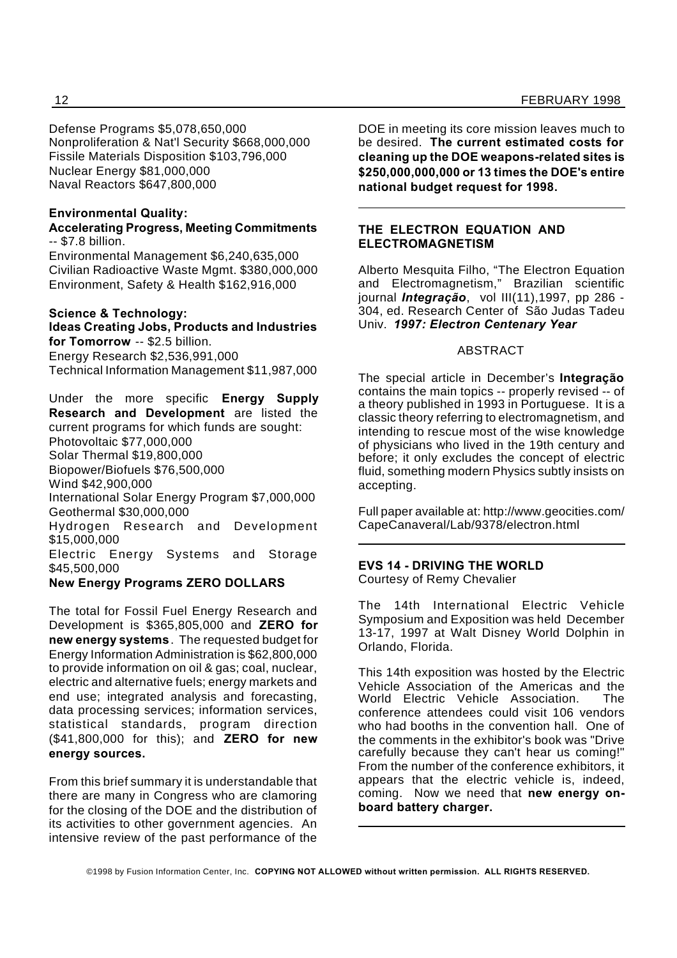Defense Programs \$5,078,650,000 Nonproliferation & Nat'l Security \$668,000,000 Fissile Materials Disposition \$103,796,000 Nuclear Energy \$81,000,000 Naval Reactors \$647,800,000

### **Environmental Quality:**

### **Accelerating Progress, Meeting Commitments** -- \$7.8 billion.

Environmental Management \$6,240,635,000 Civilian Radioactive Waste Mgmt. \$380,000,000 Environment, Safety & Health \$162,916,000

### **Science & Technology:**

**Ideas Creating Jobs, Products and Industries for Tomorrow** -- \$2.5 billion. Energy Research \$2,536,991,000 Technical Information Management \$11,987,000

Under the more specific **Energy Supply Research and Development** are listed the current programs for which funds are sought: Photovoltaic \$77,000,000 Solar Thermal \$19,800,000 Biopower/Biofuels \$76,500,000 Wind \$42,900,000 International Solar Energy Program \$7,000,000 Geothermal \$30,000,000 Hydrogen Research and Development \$15,000,000 Electric Energy Systems and Storage \$45,500,000

### **New Energy Programs ZERO DOLLARS**

The total for Fossil Fuel Energy Research and Development is \$365,805,000 and **ZERO for new energy systems**. The requested budget for Energy Information Administration is \$62,800,000 to provide information on oil & gas; coal, nuclear, electric and alternative fuels; energy markets and end use; integrated analysis and forecasting, data processing services; information services, statistical standards, program direction (\$41,800,000 for this); and **ZERO for new energy sources.**

From this brief summary it is understandable that there are many in Congress who are clamoring for the closing of the DOE and the distribution of its activities to other government agencies. An intensive review of the past performance of the DOE in meeting its core mission leaves much to be desired. **The current estimated costs for cleaning up the DOE weapons-related sites is \$250,000,000,000 or 13 times the DOE's entire national budget request for 1998.**

### **THE ELECTRON EQUATION AND ELECTROMAGNETISM**

Alberto Mesquita Filho, "The Electron Equation and Electromagnetism," Brazilian scientific journal *Integração*, vol III(11),1997, pp 286 - 304, ed. Research Center of São Judas Tadeu Univ. *1997: Electron Centenary Year*

### ABSTRACT

The special article in December's **Integração** contains the main topics -- properly revised -- of a theory published in 1993 in Portuguese. It is a classic theory referring to electromagnetism, and intending to rescue most of the wise knowledge of physicians who lived in the 19th century and before; it only excludes the concept of electric fluid, something modern Physics subtly insists on accepting.

Full paper available at: http://www.geocities.com/ CapeCanaveral/Lab/9378/electron.html

### **EVS 14 - DRIVING THE WORLD** Courtesy of Remy Chevalier

The 14th International Electric Vehicle Symposium and Exposition was held December 13-17, 1997 at Walt Disney World Dolphin in Orlando, Florida.

This 14th exposition was hosted by the Electric Vehicle Association of the Americas and the World Electric Vehicle Association. The conference attendees could visit 106 vendors who had booths in the convention hall. One of the comments in the exhibitor's book was "Drive carefully because they can't hear us coming!" From the number of the conference exhibitors, it appears that the electric vehicle is, indeed, coming. Now we need that **new energy onboard battery charger.**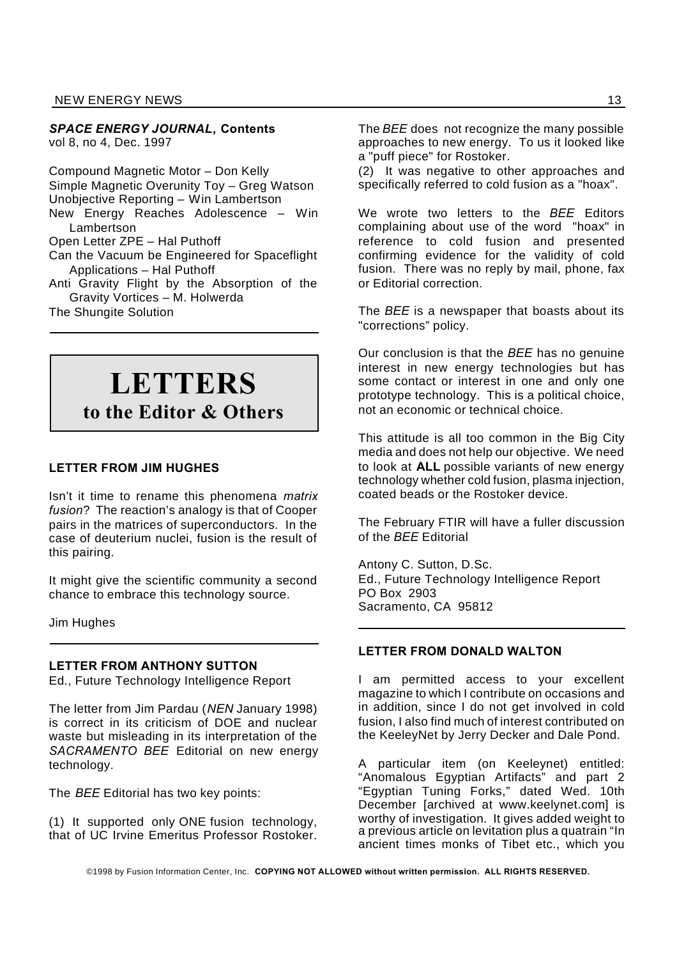### NEW ENERGY NEWS 13

*SPACE ENERGY JOURNAL***, Contents** vol 8, no 4, Dec. 1997

Compound Magnetic Motor – Don Kelly Simple Magnetic Overunity Toy – Greg Watson Unobjective Reporting – Win Lambertson New Energy Reaches Adolescence – Win Lambertson Open Letter ZPE – Hal Puthoff Can the Vacuum be Engineered for Spaceflight Applications – Hal Puthoff Anti Gravity Flight by the Absorption of the Gravity Vortices – M. Holwerda

The Shungite Solution

## **LETTERS**

**to the Editor & Others**

### **LETTER FROM JIM HUGHES**

Isn't it time to rename this phenomena *matrix fusion*? The reaction's analogy is that of Cooper pairs in the matrices of superconductors. In the case of deuterium nuclei, fusion is the result of this pairing.

It might give the scientific community a second chance to embrace this technology source.

Jim Hughes

### **LETTER FROM ANTHONY SUTTON**

Ed., Future Technology Intelligence Report

The letter from Jim Pardau (*NEN* January 1998) is correct in its criticism of DOE and nuclear waste but misleading in its interpretation of the *SACRAMENTO BEE* Editorial on new energy technology.

The *BEE* Editorial has two key points:

(1) It supported only ONE fusion technology, that of UC Irvine Emeritus Professor Rostoker.

The *BEE* does not recognize the many possible approaches to new energy. To us it looked like a "puff piece" for Rostoker.

(2) It was negative to other approaches and specifically referred to cold fusion as a "hoax".

We wrote two letters to the *BEE* Editors complaining about use of the word "hoax" in reference to cold fusion and presented confirming evidence for the validity of cold fusion. There was no reply by mail, phone, fax or Editorial correction.

The *BEE* is a newspaper that boasts about its "corrections" policy.

Our conclusion is that the *BEE* has no genuine interest in new energy technologies but has some contact or interest in one and only one prototype technology. This is a political choice, not an economic or technical choice.

This attitude is all too common in the Big City media and does not help our objective. We need to look at **ALL** possible variants of new energy technology whether cold fusion, plasma injection, coated beads or the Rostoker device.

The February FTIR will have a fuller discussion of the *BEE* Editorial

Antony C. Sutton, D.Sc. Ed., Future Technology Intelligence Report PO Box 2903 Sacramento, CA 95812

### **LETTER FROM DONALD WALTON**

I am permitted access to your excellent magazine to which I contribute on occasions and in addition, since I do not get involved in cold fusion, I also find much of interest contributed on the KeeleyNet by Jerry Decker and Dale Pond.

A particular item (on Keeleynet) entitled: "Anomalous Egyptian Artifacts" and part 2 "Egyptian Tuning Forks," dated Wed. 10th December [archived at www.keelynet.com] is worthy of investigation. It gives added weight to a previous article on levitation plus a quatrain "In ancient times monks of Tibet etc., which you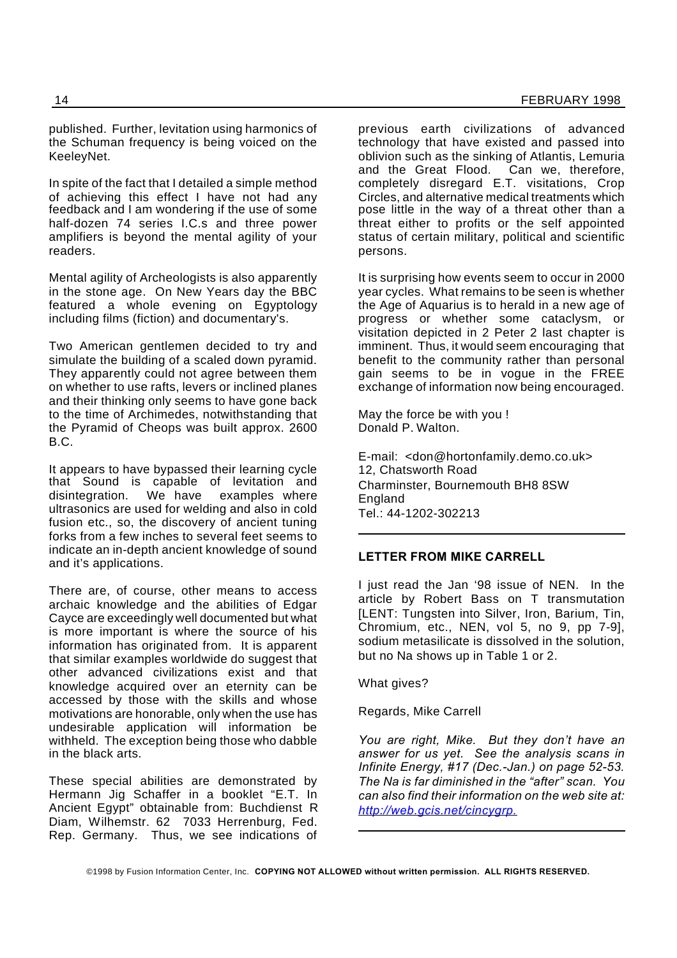published. Further, levitation using harmonics of the Schuman frequency is being voiced on the KeeleyNet.

In spite of the fact that I detailed a simple method of achieving this effect I have not had any feedback and I am wondering if the use of some half-dozen 74 series I.C.s and three power amplifiers is beyond the mental agility of your readers.

Mental agility of Archeologists is also apparently in the stone age. On New Years day the BBC featured a whole evening on Egyptology including films (fiction) and documentary's.

Two American gentlemen decided to try and simulate the building of a scaled down pyramid. They apparently could not agree between them on whether to use rafts, levers or inclined planes and their thinking only seems to have gone back to the time of Archimedes, notwithstanding that the Pyramid of Cheops was built approx. 2600 B.C.

It appears to have bypassed their learning cycle that Sound is capable of levitation and disintegration. We have examples where ultrasonics are used for welding and also in cold fusion etc., so, the discovery of ancient tuning forks from a few inches to several feet seems to indicate an in-depth ancient knowledge of sound and it's applications.

There are, of course, other means to access archaic knowledge and the abilities of Edgar Cayce are exceedingly well documented but what is more important is where the source of his information has originated from. It is apparent that similar examples worldwide do suggest that other advanced civilizations exist and that knowledge acquired over an eternity can be accessed by those with the skills and whose motivations are honorable, only when the use has undesirable application will information be withheld. The exception being those who dabble in the black arts.

These special abilities are demonstrated by Hermann Jig Schaffer in a booklet "E.T. In Ancient Egypt" obtainable from: Buchdienst R Diam, Wilhemstr. 62 7033 Herrenburg, Fed. Rep. Germany. Thus, we see indications of

previous earth civilizations of advanced technology that have existed and passed into oblivion such as the sinking of Atlantis, Lemuria and the Great Flood. Can we, therefore, completely disregard E.T. visitations, Crop Circles, and alternative medical treatments which pose little in the way of a threat other than a threat either to profits or the self appointed status of certain military, political and scientific persons.

It is surprising how events seem to occur in 2000 year cycles. What remains to be seen is whether the Age of Aquarius is to herald in a new age of progress or whether some cataclysm, or visitation depicted in 2 Peter 2 last chapter is imminent. Thus, it would seem encouraging that benefit to the community rather than personal gain seems to be in vogue in the FREE exchange of information now being encouraged.

May the force be with you ! Donald P. Walton.

E-mail: <don@hortonfamily.demo.co.uk> 12, Chatsworth Road Charminster, Bournemouth BH8 8SW **England** Tel.: 44-1202-302213

### **LETTER FROM MIKE CARRELL**

I just read the Jan '98 issue of NEN. In the article by Robert Bass on T transmutation [LENT: Tungsten into Silver, Iron, Barium, Tin, Chromium, etc., NEN, vol 5, no 9, pp 7-9], sodium metasilicate is dissolved in the solution, but no Na shows up in Table 1 or 2.

What gives?

Regards, Mike Carrell

*You are right, Mike. But they don't have an answer for us yet. See the analysis scans in Infinite Energy, #17 (Dec.-Jan.) on page 52-53. The Na is far diminished in the "after" scan. You can also find their information on the web site at: http://web.gcis.net/cincygrp.*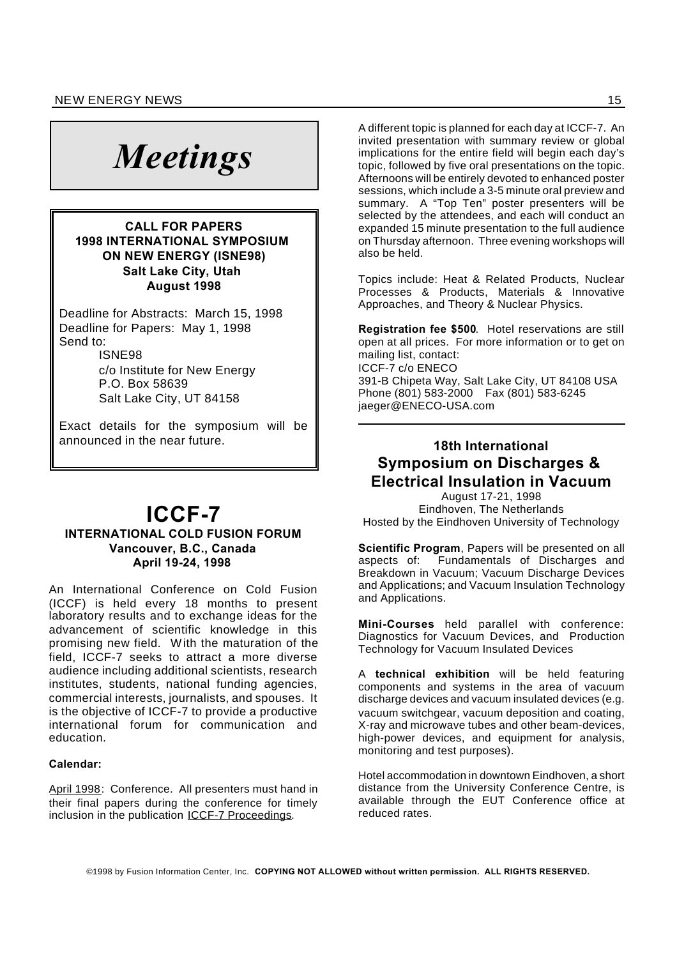# *Meetings*

### **CALL FOR PAPERS 1998 INTERNATIONAL SYMPOSIUM ON NEW ENERGY (ISNE98) Salt Lake City, Utah August 1998**

Deadline for Abstracts: March 15, 1998 Deadline for Papers: May 1, 1998 Send to:

ISNE98

c/o Institute for New Energy P.O. Box 58639 Salt Lake City, UT 84158

Exact details for the symposium will be announced in the near future.

### **ICCF-7 INTERNATIONAL COLD FUSION FORUM Vancouver, B.C., Canada April 19-24, 1998**

An International Conference on Cold Fusion (ICCF) is held every 18 months to present laboratory results and to exchange ideas for the advancement of scientific knowledge in this promising new field. With the maturation of the field, ICCF-7 seeks to attract a more diverse audience including additional scientists, research institutes, students, national funding agencies, commercial interests, journalists, and spouses. It is the objective of ICCF-7 to provide a productive international forum for communication and education.

### **Calendar:**

April 1998: Conference. All presenters must hand in their final papers during the conference for timely inclusion in the publication ICCF-7 Proceedings.

A different topic is planned for each day at ICCF-7. An invited presentation with summary review or global implications for the entire field will begin each day's topic, followed by five oral presentations on the topic. Afternoons will be entirely devoted to enhanced poster sessions, which include a 3-5 minute oral preview and summary. A "Top Ten" poster presenters will be selected by the attendees, and each will conduct an expanded 15 minute presentation to the full audience on Thursday afternoon. Three evening workshops will also be held.

Topics include: Heat & Related Products, Nuclear Processes & Products, Materials & Innovative Approaches, and Theory & Nuclear Physics.

**Registration fee \$500**. Hotel reservations are still open at all prices. For more information or to get on mailing list, contact: ICCF-7 c/o ENECO 391-B Chipeta Way, Salt Lake City, UT 84108 USA Phone (801) 583-2000 Fax (801) 583-6245 jaeger@ENECO-USA.com

### **18th International Symposium on Discharges & Electrical Insulation in Vacuum**

August 17-21, 1998 Eindhoven, The Netherlands Hosted by the Eindhoven University of Technology

**Scientific Program**, Papers will be presented on all aspects of: Fundamentals of Discharges and Breakdown in Vacuum; Vacuum Discharge Devices and Applications; and Vacuum Insulation Technology and Applications.

**Mini-Courses** held parallel with conference: Diagnostics for Vacuum Devices, and Production Technology for Vacuum Insulated Devices

A **technical exhibition** will be held featuring components and systems in the area of vacuum discharge devices and vacuum insulated devices (e.g. vacuum switchgear, vacuum deposition and coating, X-ray and microwave tubes and other beam-devices, high-power devices, and equipment for analysis, monitoring and test purposes).

Hotel accommodation in downtown Eindhoven, a short distance from the University Conference Centre, is available through the EUT Conference office at reduced rates.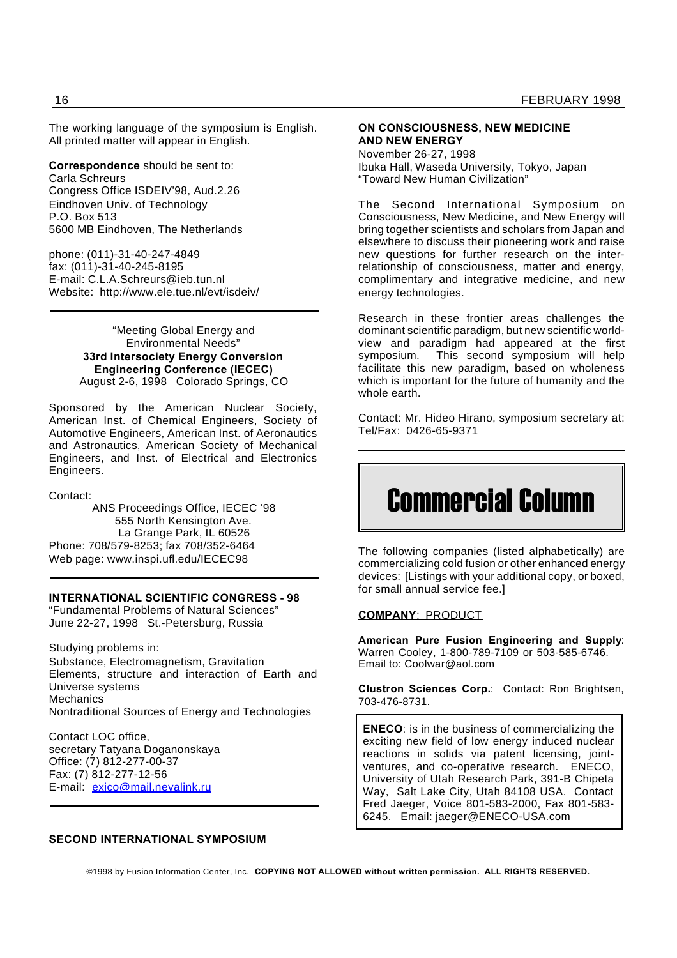The working language of the symposium is English. All printed matter will appear in English.

**Correspondence** should be sent to:

Carla Schreurs Congress Office ISDEIV'98, Aud.2.26 Eindhoven Univ. of Technology P.O. Box 513 5600 MB Eindhoven, The Netherlands

phone: (011)-31-40-247-4849 fax: (011)-31-40-245-8195 E-mail: C.L.A.Schreurs@ieb.tun.nl Website: http://www.ele.tue.nl/evt/isdeiv/

> "Meeting Global Energy and Environmental Needs" **33rd Intersociety Energy Conversion Engineering Conference (IECEC)** August 2-6, 1998 Colorado Springs, CO

Sponsored by the American Nuclear Society, American Inst. of Chemical Engineers, Society of Automotive Engineers, American Inst. of Aeronautics and Astronautics, American Society of Mechanical Engineers, and Inst. of Electrical and Electronics Engineers.

Contact:

ANS Proceedings Office, IECEC '98 555 North Kensington Ave. La Grange Park, IL 60526 Phone: 708/579-8253; fax 708/352-6464 Web page: www.inspi.ufl.edu/IECEC98

### **INTERNATIONAL SCIENTIFIC CONGRESS - 98**

"Fundamental Problems of Natural Sciences" June 22-27, 1998 St.-Petersburg, Russia

Studying problems in: Substance, Electromagnetism, Gravitation Elements, structure and interaction of Earth and Universe systems **Mechanics** Nontraditional Sources of Energy and Technologies

Contact LOC office, secretary Tatyana Doganonskaya Office: (7) 812-277-00-37 Fax: (7) 812-277-12-56 E-mail: exico@mail.nevalink.ru

### **SECOND INTERNATIONAL SYMPOSIUM**

### **ON CONSCIOUSNESS, NEW MEDICINE AND NEW ENERGY**

November 26-27, 1998 Ibuka Hall, Waseda University, Tokyo, Japan "Toward New Human Civilization"

The Second International Symposium on Consciousness, New Medicine, and New Energy will bring together scientists and scholars from Japan and elsewhere to discuss their pioneering work and raise new questions for further research on the interrelationship of consciousness, matter and energy, complimentary and integrative medicine, and new energy technologies.

Research in these frontier areas challenges the dominant scientific paradigm, but new scientific worldview and paradigm had appeared at the first symposium. This second symposium will help facilitate this new paradigm, based on wholeness which is important for the future of humanity and the whole earth.

Contact: Mr. Hideo Hirano, symposium secretary at: Tel/Fax: 0426-65-9371

# Commercial Column

The following companies (listed alphabetically) are commercializing cold fusion or other enhanced energy devices: [Listings with your additional copy, or boxed, for small annual service fee.]

### **COMPANY**: PRODUCT

**American Pure Fusion Engineering and Supply**: Warren Cooley, 1-800-789-7109 or 503-585-6746. Email to: Coolwar@aol.com

**Clustron Sciences Corp.**: Contact: Ron Brightsen, 703-476-8731.

**ENECO**: is in the business of commercializing the exciting new field of low energy induced nuclear reactions in solids via patent licensing, jointventures, and co-operative research. ENECO, University of Utah Research Park, 391-B Chipeta Way, Salt Lake City, Utah 84108 USA. Contact Fred Jaeger, Voice 801-583-2000, Fax 801-583- 6245. Email: jaeger@ENECO-USA.com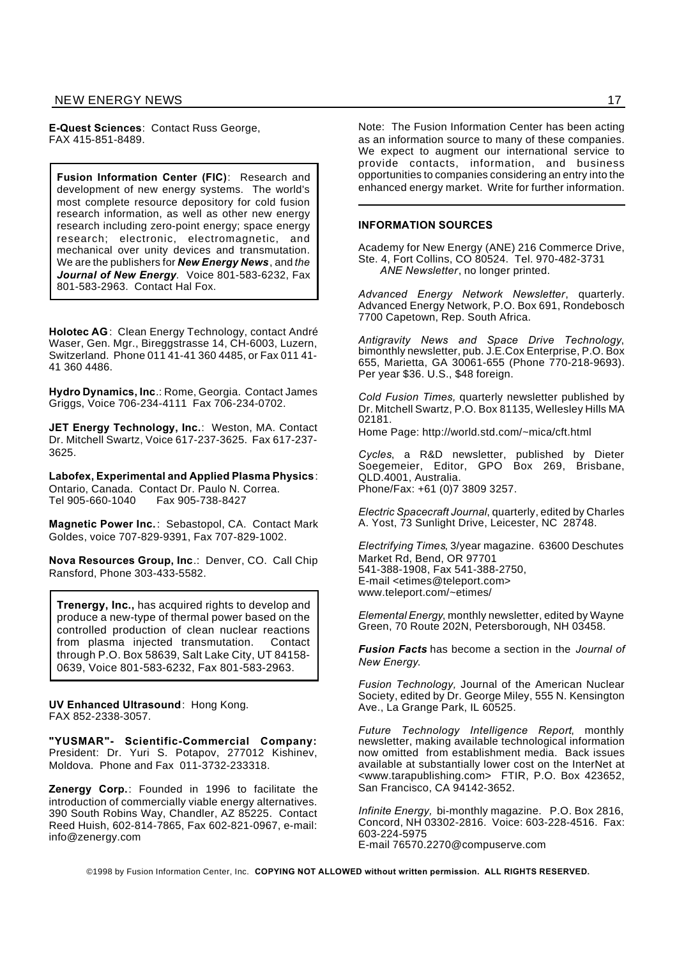**E-Quest Sciences**: Contact Russ George, FAX 415-851-8489.

**Fusion Information Center (FIC)**: Research and development of new energy systems. The world's most complete resource depository for cold fusion research information, as well as other new energy research including zero-point energy; space energy research; electronic, electromagnetic, and mechanical over unity devices and transmutation. We are the publishers for *New Energy News*, and *the Journal of New Energy.* Voice 801-583-6232, Fax 801-583-2963. Contact Hal Fox.

**Holotec AG**: Clean Energy Technology, contact André Waser, Gen. Mgr., Bireggstrasse 14, CH-6003, Luzern, Switzerland. Phone 011 41-41 360 4485, or Fax 011 41- 41 360 4486.

**Hydro Dynamics, Inc**.: Rome, Georgia. Contact James Griggs, Voice 706-234-4111 Fax 706-234-0702.

**JET Energy Technology, Inc.**: Weston, MA. Contact Dr. Mitchell Swartz, Voice 617-237-3625. Fax 617-237- 3625.

**Labofex, Experimental and Applied Plasma Physics**: Ontario, Canada. Contact Dr. Paulo N. Correa. Tel 905-660-1040 Fax 905-738-8427

**Magnetic Power Inc.**: Sebastopol, CA. Contact Mark Goldes, voice 707-829-9391, Fax 707-829-1002.

**Nova Resources Group, Inc**.: Denver, CO. Call Chip Ransford, Phone 303-433-5582.

**Trenergy, Inc.,** has acquired rights to develop and produce a new-type of thermal power based on the controlled production of clean nuclear reactions from plasma injected transmutation. Contact through P.O. Box 58639, Salt Lake City, UT 84158- 0639, Voice 801-583-6232, Fax 801-583-2963.

**UV Enhanced Ultrasound**: Hong Kong. FAX 852-2338-3057.

**"YUSMAR"- Scientific-Commercial Company:** President: Dr. Yuri S. Potapov, 277012 Kishinev, Moldova. Phone and Fax 011-3732-233318.

**Zenergy Corp.**: Founded in 1996 to facilitate the introduction of commercially viable energy alternatives. 390 South Robins Way, Chandler, AZ 85225. Contact Reed Huish, 602-814-7865, Fax 602-821-0967, e-mail: info@zenergy.com

Note: The Fusion Information Center has been acting as an information source to many of these companies. We expect to augment our international service to provide contacts, information, and business opportunities to companies considering an entry into the enhanced energy market. Write for further information.

#### **INFORMATION SOURCES**

Academy for New Energy (ANE) 216 Commerce Drive, Ste. 4, Fort Collins, CO 80524. Tel. 970-482-3731 *ANE Newsletter*, no longer printed.

*Advanced Energy Network Newsletter*, quarterly. Advanced Energy Network, P.O. Box 691, Rondebosch 7700 Capetown, Rep. South Africa.

*Antigravity News and Space Drive Technology*, bimonthly newsletter, pub. J.E.Cox Enterprise, P.O. Box 655, Marietta, GA 30061-655 (Phone 770-218-9693). Per year \$36. U.S., \$48 foreign.

*Cold Fusion Times,* quarterly newsletter published by Dr. Mitchell Swartz, P.O. Box 81135, Wellesley Hills MA 02181.

Home Page: http://world.std.com/~mica/cft.html

*Cycles*, a R&D newsletter, published by Dieter Soegemeier, Editor, GPO Box 269, Brisbane, QLD.4001, Australia. Phone/Fax: +61 (0)7 3809 3257.

*Electric Spacecraft Journal*, quarterly, edited by Charles A. Yost, 73 Sunlight Drive, Leicester, NC 28748.

*Electrifying Times*, 3/year magazine. 63600 Deschutes Market Rd, Bend, OR 97701 541-388-1908, Fax 541-388-2750, E-mail <etimes@teleport.com> www.teleport.com/~etimes/

*Elemental Energy*, monthly newsletter, edited by Wayne Green, 70 Route 202N, Petersborough, NH 03458.

*Fusion Facts* has become a section in the *Journal of New Energy*.

*Fusion Technology,* Journal of the American Nuclear Society, edited by Dr. George Miley, 555 N. Kensington Ave., La Grange Park, IL 60525.

*Future Technology Intelligence Report*, monthly newsletter, making available technological information now omitted from establishment media. Back issues available at substantially lower cost on the InterNet at <www.tarapublishing.com> FTIR, P.O. Box 423652, San Francisco, CA 94142-3652.

*Infinite Energy,* bi-monthly magazine. P.O. Box 2816, Concord, NH 03302-2816. Voice: 603-228-4516. Fax: 603-224-5975 E-mail 76570.2270@compuserve.com

©1998 by Fusion Information Center, Inc. **COPYING NOT ALLOWED without written permission. ALL RIGHTS RESERVED.**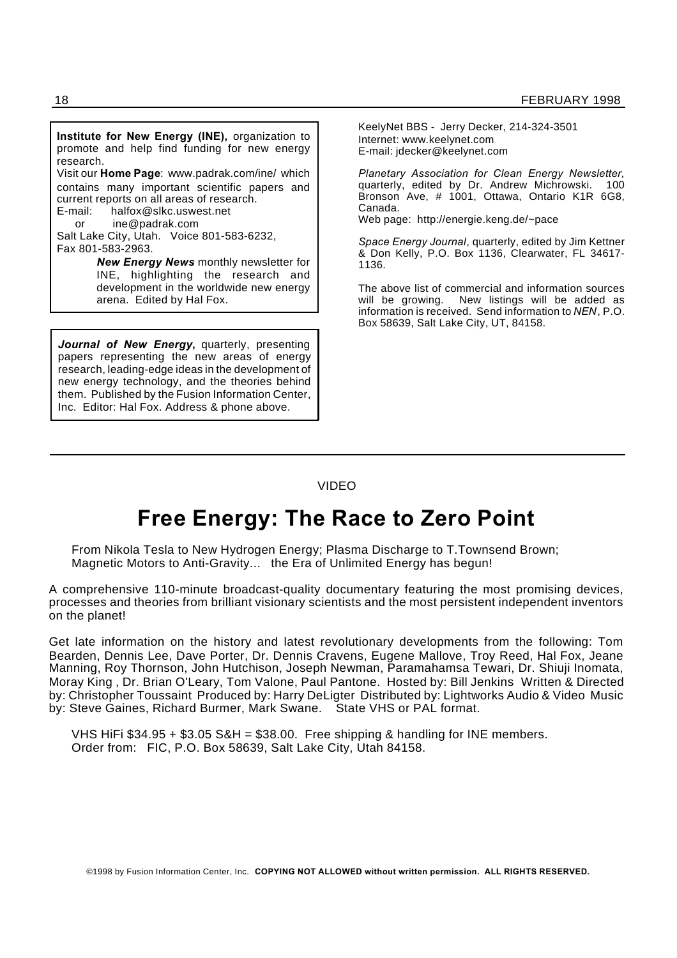**Institute for New Energy (INE),** organization to promote and help find funding for new energy research. Visit our **Home Page**: www.padrak.com/ine/ which contains many important scientific papers and current reports on all areas of research. E-mail: halfox@slkc.uswest.net or ine@padrak.com Salt Lake City, Utah. Voice 801-583-6232, Fax 801-583-2963. *New Energy News* monthly newsletter for INE, highlighting the research and development in the worldwide new energy arena. Edited by Hal Fox.

*Journal of New Energy***,** quarterly, presenting papers representing the new areas of energy research, leading-edge ideas in the development of new energy technology, and the theories behind them. Published by the Fusion Information Center, Inc. Editor: Hal Fox. Address & phone above.

KeelyNet BBS - Jerry Decker, 214-324-3501 Internet: www.keelynet.com E-mail: jdecker@keelynet.com

*Planetary Association for Clean Energy Newsletter*, quarterly, edited by Dr. Andrew Michrowski. 100 Bronson Ave, # 1001, Ottawa, Ontario K1R 6G8, Canada.

Web page: http://energie.keng.de/~pace

*Space Energy Journal*, quarterly, edited by Jim Kettner & Don Kelly, P.O. Box 1136, Clearwater, FL 34617- 1136.

The above list of commercial and information sources will be growing. New listings will be added as information is received. Send information to *NEN*, P.O. Box 58639, Salt Lake City, UT, 84158.

### VIDEO

## **Free Energy: The Race to Zero Point**

From Nikola Tesla to New Hydrogen Energy; Plasma Discharge to T.Townsend Brown; Magnetic Motors to Anti-Gravity... the Era of Unlimited Energy has begun!

A comprehensive 110-minute broadcast-quality documentary featuring the most promising devices, processes and theories from brilliant visionary scientists and the most persistent independent inventors on the planet!

Get late information on the history and latest revolutionary developments from the following: Tom Bearden, Dennis Lee, Dave Porter, Dr. Dennis Cravens, Eugene Mallove, Troy Reed, Hal Fox, Jeane Manning, Roy Thornson, John Hutchison, Joseph Newman, Paramahamsa Tewari, Dr. Shiuji Inomata, Moray King , Dr. Brian O'Leary, Tom Valone, Paul Pantone. Hosted by: Bill Jenkins Written & Directed by: Christopher Toussaint Produced by: Harry DeLigter Distributed by: Lightworks Audio & Video Music by: Steve Gaines, Richard Burmer, Mark Swane. State VHS or PAL format.

VHS HiFi \$34.95 + \$3.05 S&H = \$38.00. Free shipping & handling for INE members. Order from: FIC, P.O. Box 58639, Salt Lake City, Utah 84158.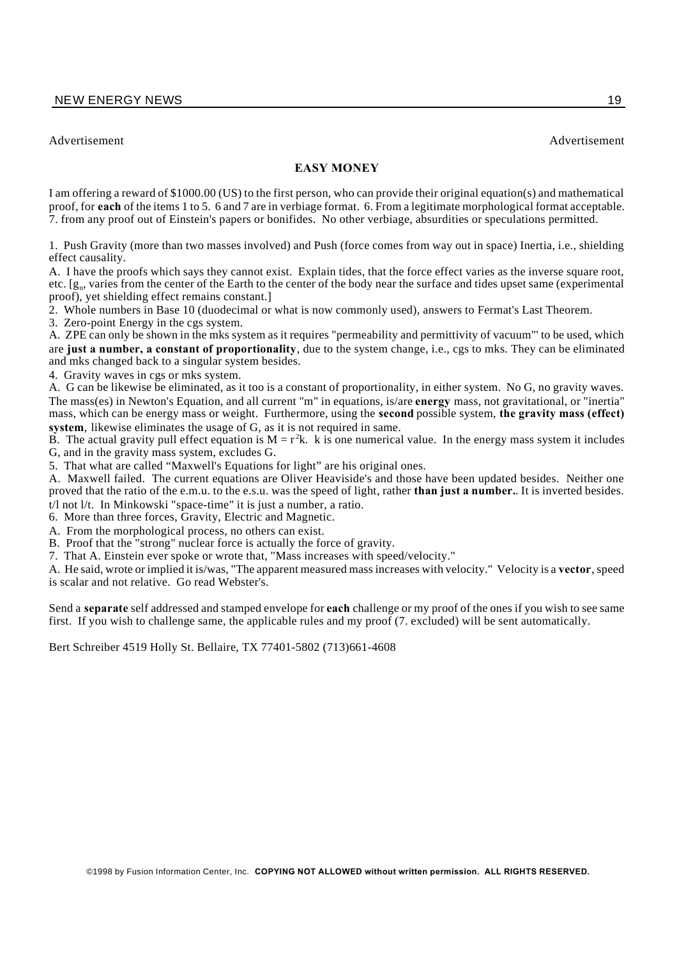Advertisement Advertisement

### **EASY MONEY**

I am offering a reward of \$1000.00 (US) to the first person, who can provide their original equation(s) and mathematical proof, for **each** of the items 1 to 5. 6 and 7 are in verbiage format. 6. From a legitimate morphological format acceptable. 7. from any proof out of Einstein's papers or bonifides. No other verbiage, absurdities or speculations permitted.

1. Push Gravity (more than two masses involved) and Push (force comes from way out in space) Inertia, i.e., shielding effect causality.

A. I have the proofs which says they cannot exist. Explain tides, that the force effect varies as the inverse square root, etc.  $[g_n]$ , varies from the center of the Earth to the center of the body near the surface and tides upset same (experimental proof), yet shielding effect remains constant.]

2. Whole numbers in Base 10 (duodecimal or what is now commonly used), answers to Fermat's Last Theorem.

3. Zero-point Energy in the cgs system.

A. ZPE can only be shown in the mks system as it requires "permeability and permittivity of vacuum"' to be used, which are **just a number, a constant of proportionality**, due to the system change, i.e., cgs to mks. They can be eliminated and mks changed back to a singular system besides.

4. Gravity waves in cgs or mks system.

A. G can be likewise be eliminated, as it too is a constant of proportionality, in either system. No G, no gravity waves. The mass(es) in Newton's Equation, and all current "m" in equations, is/are **energy** mass, not gravitational, or "inertia" mass, which can be energy mass or weight. Furthermore, using the **second** possible system, **the gravity mass (effect) system**, likewise eliminates the usage of G, as it is not required in same.

B. The actual gravity pull effect equation is  $M = r^2k$ . k is one numerical value. In the energy mass system it includes G, and in the gravity mass system, excludes G.

5. That what are called "Maxwell's Equations for light" are his original ones.

A. Maxwell failed. The current equations are Oliver Heaviside's and those have been updated besides. Neither one proved that the ratio of the e.m.u. to the e.s.u. was the speed of light, rather **than just a number.**. It is inverted besides. t/l not l/t. In Minkowski "space-time" it is just a number, a ratio.

6. More than three forces, Gravity, Electric and Magnetic.

A. From the morphological process, no others can exist.

B. Proof that the "strong" nuclear force is actually the force of gravity.

7. That A. Einstein ever spoke or wrote that, "Mass increases with speed/velocity."

A. He said, wrote or implied it is/was, "The apparent measured mass increases with velocity." Velocity is a **vector**, speed is scalar and not relative. Go read Webster's.

Send a **separate** self addressed and stamped envelope for **each** challenge or my proof of the ones if you wish to see same first. If you wish to challenge same, the applicable rules and my proof (7. excluded) will be sent automatically.

Bert Schreiber 4519 Holly St. Bellaire, TX 77401-5802 (713)661-4608